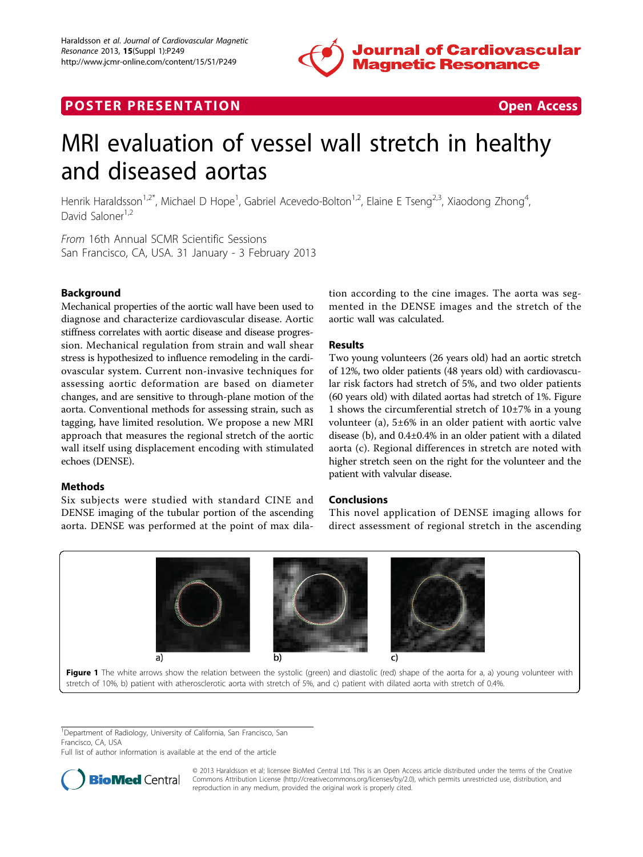

## **POSTER PRESENTATION CONSUMING THE SECOND CONSUMING THE SECOND CONSUMING THE SECOND CONSUMING THE SECOND CONSUMING THE SECOND CONSUMING THE SECOND CONSUMING THE SECOND CONSUMING THE SECOND CONSUMING THE SECOND CONSUMING**



# MRI evaluation of vessel wall stretch in healthy and diseased aortas

Henrik Haraldsson<sup>1,2\*</sup>, Michael D Hope<sup>1</sup>, Gabriel Acevedo-Bolton<sup>1,2</sup>, Elaine E Tseng<sup>2,3</sup>, Xiaodong Zhong<sup>4</sup> , David Saloner<sup>1,2</sup>

From 16th Annual SCMR Scientific Sessions San Francisco, CA, USA. 31 January - 3 February 2013

### Background

Mechanical properties of the aortic wall have been used to diagnose and characterize cardiovascular disease. Aortic stiffness correlates with aortic disease and disease progression. Mechanical regulation from strain and wall shear stress is hypothesized to influence remodeling in the cardiovascular system. Current non-invasive techniques for assessing aortic deformation are based on diameter changes, and are sensitive to through-plane motion of the aorta. Conventional methods for assessing strain, such as tagging, have limited resolution. We propose a new MRI approach that measures the regional stretch of the aortic wall itself using displacement encoding with stimulated echoes (DENSE).

#### **Methods**

Six subjects were studied with standard CINE and DENSE imaging of the tubular portion of the ascending aorta. DENSE was performed at the point of max dila-

tion according to the cine images. The aorta was segmented in the DENSE images and the stretch of the aortic wall was calculated.

#### Results

Two young volunteers (26 years old) had an aortic stretch of 12%, two older patients (48 years old) with cardiovascular risk factors had stretch of 5%, and two older patients (60 years old) with dilated aortas had stretch of 1%. Figure 1 shows the circumferential stretch of 10±7% in a young volunteer (a), 5±6% in an older patient with aortic valve disease (b), and 0.4±0.4% in an older patient with a dilated aorta (c). Regional differences in stretch are noted with higher stretch seen on the right for the volunteer and the patient with valvular disease.

#### Conclusions

This novel application of DENSE imaging allows for direct assessment of regional stretch in the ascending



Figure 1 The white arrows show the relation between the systolic (green) and diastolic (red) shape of the aorta for a, a) young volunteer with stretch of 10%, b) patient with atherosclerotic aorta with stretch of 5%, and c) patient with dilated aorta with stretch of 0.4%.

<sup>1</sup>Department of Radiology, University of California, San Francisco, San Francisco, CA, USA

Full list of author information is available at the end of the article



© 2013 Haraldsson et al; licensee BioMed Central Ltd. This is an Open Access article distributed under the terms of the Creative Commons Attribution License [\(http://creativecommons.org/licenses/by/2.0](http://creativecommons.org/licenses/by/2.0)), which permits unrestricted use, distribution, and reproduction in any medium, provided the original work is properly cited.